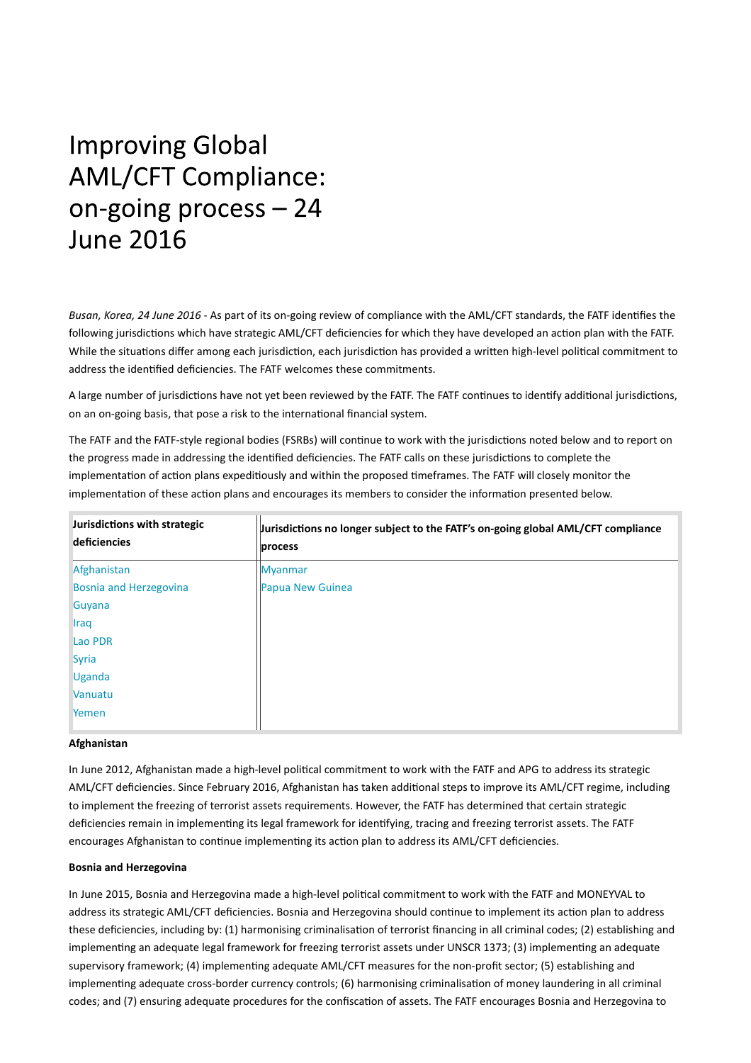# **Improving Global AML/CFT Compliance:** on-going process - 24 **June 2016**

*Busan, Korea, 24 June 2016* ‐ As part of its on‐going review of compliance with the AML/CFT standards, the FATF idenƟfies the following jurisdictions which have strategic AML/CFT deficiencies for which they have developed an action plan with the FATF. While the situations differ among each jurisdiction, each jurisdiction has provided a written high-level political commitment to address the identified deficiencies. The FATF welcomes these commitments.

A large number of jurisdictions have not yet been reviewed by the FATF. The FATF continues to identify additional jurisdictions, on an on-going basis, that pose a risk to the international financial system.

The FATF and the FATF-style regional bodies (FSRBs) will continue to work with the jurisdictions noted below and to report on the progress made in addressing the identified deficiencies. The FATF calls on these jurisdictions to complete the implementation of action plans expeditiously and within the proposed timeframes. The FATF will closely monitor the implementation of these action plans and encourages its members to consider the information presented below.

| Jurisdictions with strategic<br>deficiencies | Jurisdictions no longer subject to the FATF's on-going global AML/CFT compliance<br>process |
|----------------------------------------------|---------------------------------------------------------------------------------------------|
| Afghanistan                                  | <b>Myanmar</b>                                                                              |
| <b>Bosnia and Herzegovina</b>                | Papua New Guinea                                                                            |
| Guyana                                       |                                                                                             |
| <b>Iraq</b>                                  |                                                                                             |
| Lao PDR                                      |                                                                                             |
| <b>Syria</b>                                 |                                                                                             |
| <b>Uganda</b>                                |                                                                                             |
| Vanuatu                                      |                                                                                             |
| Yemen                                        |                                                                                             |

# **Afghanistan**

In June 2012, Afghanistan made a high-level political commitment to work with the FATF and APG to address its strategic AML/CFT deficiencies. Since February 2016, Afghanistan has taken additional steps to improve its AML/CFT regime, including to implement the freezing of terrorist assets requirements. However, the FATF has determined that certain strategic deficiencies remain in implementing its legal framework for identifying, tracing and freezing terrorist assets. The FATF encourages Afghanistan to continue implementing its action plan to address its AML/CFT deficiencies.

## **Bosnia and Herzegovina**

In June 2015, Bosnia and Herzegovina made a high-level political commitment to work with the FATF and MONEYVAL to address its strategic AML/CFT deficiencies. Bosnia and Herzegovina should continue to implement its action plan to address these deficiencies, including by: (1) harmonising criminalisation of terrorist financing in all criminal codes; (2) establishing and implementing an adequate legal framework for freezing terrorist assets under UNSCR 1373; (3) implementing an adequate supervisory framework; (4) implementing adequate AML/CFT measures for the non-profit sector; (5) establishing and implementing adequate cross-border currency controls; (6) harmonising criminalisation of money laundering in all criminal codes; and (7) ensuring adequate procedures for the confiscation of assets. The FATF encourages Bosnia and Herzegovina to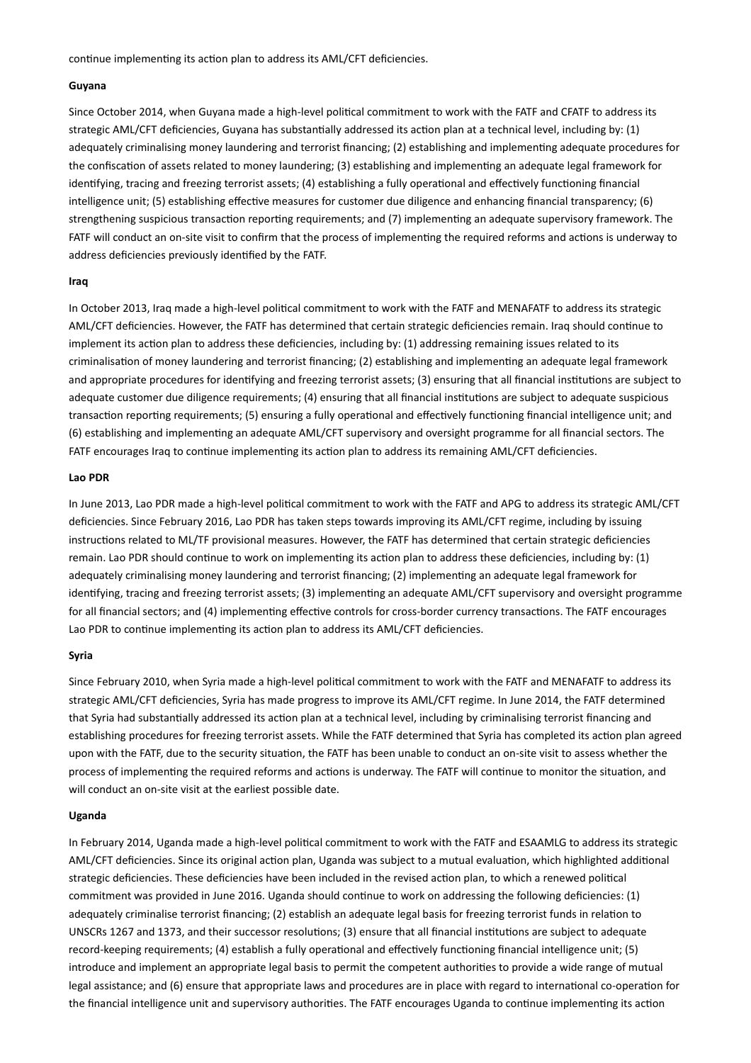continue implementing its action plan to address its AML/CFT deficiencies.

## **Guyana**

Since October 2014, when Guyana made a high-level political commitment to work with the FATF and CFATF to address its strategic AML/CFT deficiencies, Guyana has substantially addressed its action plan at a technical level, including by: (1) adequately criminalising money laundering and terrorist financing; (2) establishing and implementing adequate procedures for the confiscation of assets related to money laundering; (3) establishing and implementing an adequate legal framework for identifying, tracing and freezing terrorist assets; (4) establishing a fully operational and effectively functioning financial intelligence unit; (5) establishing effective measures for customer due diligence and enhancing financial transparency; (6) strengthening suspicious transaction reporting requirements; and (7) implementing an adequate supervisory framework. The FATF will conduct an on-site visit to confirm that the process of implementing the required reforms and actions is underway to address deficiencies previously identified by the FATF.

#### **Iraq**

In October 2013, Iraq made a high-level political commitment to work with the FATF and MENAFATF to address its strategic AML/CFT deficiencies. However, the FATF has determined that certain strategic deficiencies remain. Iraq should continue to implement its action plan to address these deficiencies, including by: (1) addressing remaining issues related to its criminalisation of money laundering and terrorist financing; (2) establishing and implementing an adequate legal framework and appropriate procedures for identifying and freezing terrorist assets; (3) ensuring that all financial institutions are subject to adequate customer due diligence requirements; (4) ensuring that all financial institutions are subject to adequate suspicious transaction reporting requirements; (5) ensuring a fully operational and effectively functioning financial intelligence unit; and (6) establishing and implementing an adequate AML/CFT supervisory and oversight programme for all financial sectors. The FATF encourages Iraq to continue implementing its action plan to address its remaining AML/CFT deficiencies.

## **Lao PDR**

In June 2013, Lao PDR made a high-level political commitment to work with the FATF and APG to address its strategic AML/CFT deficiencies. Since February 2016, Lao PDR has taken steps towards improving its AML/CFT regime, including by issuing instructions related to ML/TF provisional measures. However, the FATF has determined that certain strategic deficiencies remain. Lao PDR should continue to work on implementing its action plan to address these deficiencies, including by: (1) adequately criminalising money laundering and terrorist financing; (2) implementing an adequate legal framework for identifying, tracing and freezing terrorist assets; (3) implementing an adequate AML/CFT supervisory and oversight programme for all financial sectors; and (4) implementing effective controls for cross-border currency transactions. The FATF encourages Lao PDR to continue implementing its action plan to address its AML/CFT deficiencies.

# **Syria**

Since February 2010, when Syria made a high-level political commitment to work with the FATF and MENAFATF to address its strategic AML/CFT deficiencies, Syria has made progress to improve its AML/CFT regime. In June 2014, the FATF determined that Syria had substantially addressed its action plan at a technical level, including by criminalising terrorist financing and establishing procedures for freezing terrorist assets. While the FATF determined that Syria has completed its action plan agreed upon with the FATF, due to the security situation, the FATF has been unable to conduct an on-site visit to assess whether the process of implementing the required reforms and actions is underway. The FATF will continue to monitor the situation, and will conduct an on-site visit at the earliest possible date.

#### **Uganda**

In February 2014, Uganda made a high-level political commitment to work with the FATF and ESAAMLG to address its strategic AML/CFT deficiencies. Since its original action plan, Uganda was subject to a mutual evaluation, which highlighted additional strategic deficiencies. These deficiencies have been included in the revised action plan, to which a renewed political commitment was provided in June 2016. Uganda should continue to work on addressing the following deficiencies: (1) adequately criminalise terrorist financing; (2) establish an adequate legal basis for freezing terrorist funds in relation to UNSCRs 1267 and 1373, and their successor resolutions; (3) ensure that all financial institutions are subject to adequate record-keeping requirements; (4) establish a fully operational and effectively functioning financial intelligence unit; (5) introduce and implement an appropriate legal basis to permit the competent authorities to provide a wide range of mutual legal assistance; and (6) ensure that appropriate laws and procedures are in place with regard to international co-operation for the financial intelligence unit and supervisory authorities. The FATF encourages Uganda to continue implementing its action